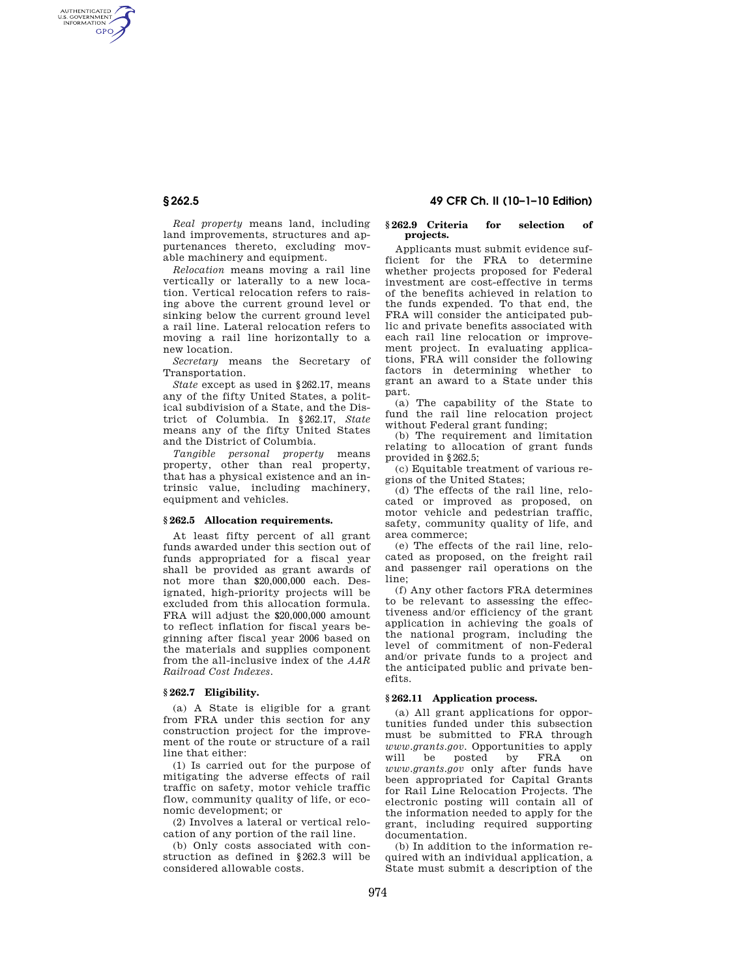AUTHENTICATED<br>U.S. GOVERNMENT<br>INFORMATION **GPO** 

> *Real property* means land, including land improvements, structures and appurtenances thereto, excluding movable machinery and equipment.

> *Relocation* means moving a rail line vertically or laterally to a new location. Vertical relocation refers to raising above the current ground level or sinking below the current ground level a rail line. Lateral relocation refers to moving a rail line horizontally to a new location.

> *Secretary* means the Secretary of Transportation.

> *State* except as used in §262.17, means any of the fifty United States, a political subdivision of a State, and the District of Columbia. In §262.17, *State*  means any of the fifty United States and the District of Columbia.

> *Tangible personal property* means property, other than real property, that has a physical existence and an intrinsic value, including machinery, equipment and vehicles.

## **§ 262.5 Allocation requirements.**

At least fifty percent of all grant funds awarded under this section out of funds appropriated for a fiscal year shall be provided as grant awards of not more than \$20,000,000 each. Designated, high-priority projects will be excluded from this allocation formula. FRA will adjust the \$20,000,000 amount to reflect inflation for fiscal years beginning after fiscal year 2006 based on the materials and supplies component from the all-inclusive index of the *AAR Railroad Cost Indexes.* 

### **§ 262.7 Eligibility.**

(a) A State is eligible for a grant from FRA under this section for any construction project for the improvement of the route or structure of a rail line that either:

(1) Is carried out for the purpose of mitigating the adverse effects of rail traffic on safety, motor vehicle traffic flow, community quality of life, or economic development; or

(2) Involves a lateral or vertical relocation of any portion of the rail line.

(b) Only costs associated with construction as defined in §262.3 will be considered allowable costs.

# **§ 262.5 49 CFR Ch. II (10–1–10 Edition)**

#### **§ 262.9 Criteria for selection of projects.**

Applicants must submit evidence sufficient for the FRA to determine whether projects proposed for Federal investment are cost-effective in terms of the benefits achieved in relation to the funds expended. To that end, the FRA will consider the anticipated public and private benefits associated with each rail line relocation or improvement project. In evaluating applications, FRA will consider the following factors in determining whether to grant an award to a State under this part.

(a) The capability of the State to fund the rail line relocation project without Federal grant funding;

(b) The requirement and limitation relating to allocation of grant funds provided in §262.5;

(c) Equitable treatment of various regions of the United States;

(d) The effects of the rail line, relocated or improved as proposed, on motor vehicle and pedestrian traffic, safety, community quality of life, and area commerce;

(e) The effects of the rail line, relocated as proposed, on the freight rail and passenger rail operations on the line;

(f) Any other factors FRA determines to be relevant to assessing the effectiveness and/or efficiency of the grant application in achieving the goals of the national program, including the level of commitment of non-Federal and/or private funds to a project and the anticipated public and private benefits.

## **§ 262.11 Application process.**

(a) All grant applications for opportunities funded under this subsection must be submitted to FRA through *www.grants.gov.* Opportunities to apply will be posted by FRA on *www.grants.gov* only after funds have been appropriated for Capital Grants for Rail Line Relocation Projects. The electronic posting will contain all of the information needed to apply for the grant, including required supporting documentation.

(b) In addition to the information required with an individual application, a State must submit a description of the